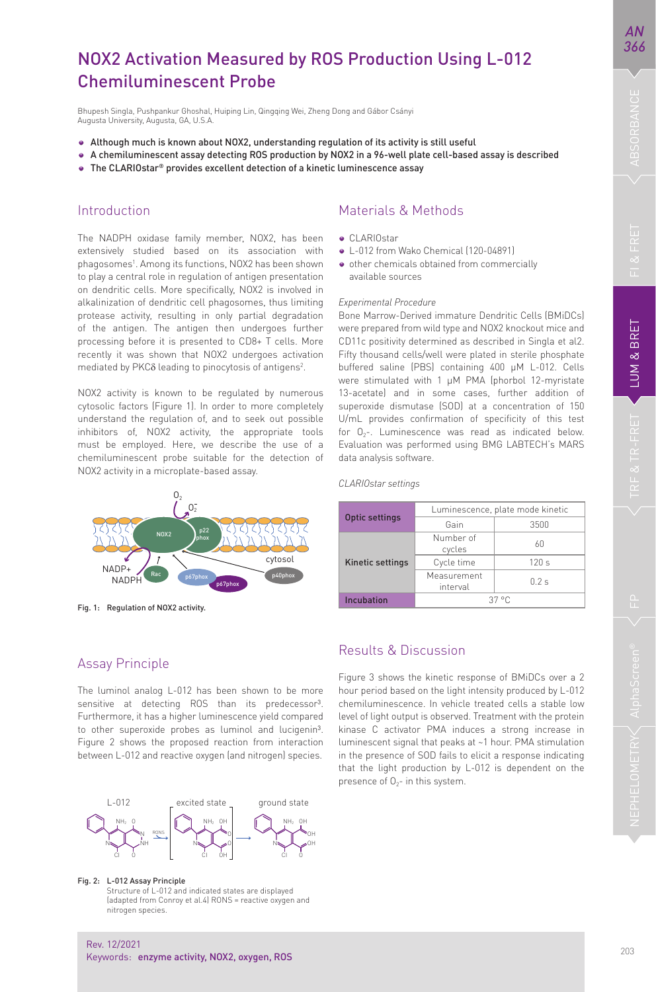*AN 366*

# NOX2 Activation Measured by ROS Production Using L-012 Chemiluminescent Probe

Bhupesh Singla, Pushpankur Ghoshal, Huiping Lin, Qingqing Wei, Zheng Dong and Gábor Csányi Augusta University, Augusta, GA, U.S.A.

- Although much is known about NOX2, understanding regulation of its activity is still useful
- A chemiluminescent assay detecting ROS production by NOX2 in a 96-well plate cell-based assay is described
- The CLARIOstar<sup>®</sup> provides excellent detection of a kinetic luminescence assay

#### Introduction

The NADPH oxidase family member, NOX2, has been extensively studied based on its association with phagosomes1 . Among its functions, NOX2 has been shown to play a central role in regulation of antigen presentation on dendritic cells. More specifically, NOX2 is involved in alkalinization of dendritic cell phagosomes, thus limiting protease activity, resulting in only partial degradation of the antigen. The antigen then undergoes further processing before it is presented to CD8+ T cells. More recently it was shown that NOX2 undergoes activation mediated by PKCδ leading to pinocytosis of antigens<sup>2</sup>.

NOX2 activity is known to be regulated by numerous cytosolic factors (Figure 1). In order to more completely understand the regulation of, and to seek out possible inhibitors of, NOX2 activity, the appropriate tools must be employed. Here, we describe the use of a chemiluminescent probe suitable for the detection of NOX2 activity in a microplate-based assay.



Fig. 1: Regulation of NOX2 activity.

## Materials & Methods

- **CLARIOstar**
- L-012 from Wako Chemical (120-04891)
- $\bullet$  other chemicals obtained from commercially available sources

#### *Experimental Procedure*

Bone Marrow-Derived immature Dendritic Cells (BMiDCs) were prepared from wild type and NOX2 knockout mice and CD11c positivity determined as described in Singla et al2. Fifty thousand cells/well were plated in sterile phosphate buffered saline (PBS) containing 400 µM L-012. Cells were stimulated with 1 uM PMA (phorbol 12-myristate 13-acetate) and in some cases, further addition of superoxide dismutase (SOD) at a concentration of 150 U/mL provides confirmation of specificity of this test for  $O_{2}$ -. Luminescence was read as indicated below. Evaluation was performed using BMG LABTECH's MARS data analysis software.

*CLARIOstar settings*

| <b>Optic settings</b>   | Luminescence, plate mode kinetic |      |
|-------------------------|----------------------------------|------|
|                         | Gain                             | 3500 |
| <b>Kinetic settings</b> | Number of<br>cycles              | KΠ   |
|                         | Cycle time                       | 120s |
|                         | Measurement<br>interval          | 02s  |
| Incubation              | $37°$ C                          |      |

### Assay Principle

The luminol analog L-012 has been shown to be more sensitive at detecting ROS than its predecessor<sup>3</sup>. Furthermore, it has a higher luminescence yield compared to other superoxide probes as luminol and lucigenin3. Figure 2 shows the proposed reaction from interaction between L-012 and reactive oxygen (and nitrogen) species.



Fig. 2: L-012 Assay Principle

 Structure of L-012 and indicated states are displayed (adapted from Conroy et al.4) RONS = reactive oxygen and nitrogen species.

## Results & Discussion

Figure 3 shows the kinetic response of BMiDCs over a 2 hour period based on the light intensity produced by L-012 chemiluminescence. In vehicle treated cells a stable low level of light output is observed. Treatment with the protein kinase C activator PMA induces a strong increase in luminescent signal that peaks at ~1 hour. PMA stimulation in the presence of SOD fails to elicit a response indicating that the light production by L-012 is dependent on the presence of  $0<sub>2</sub>$ - in this system.